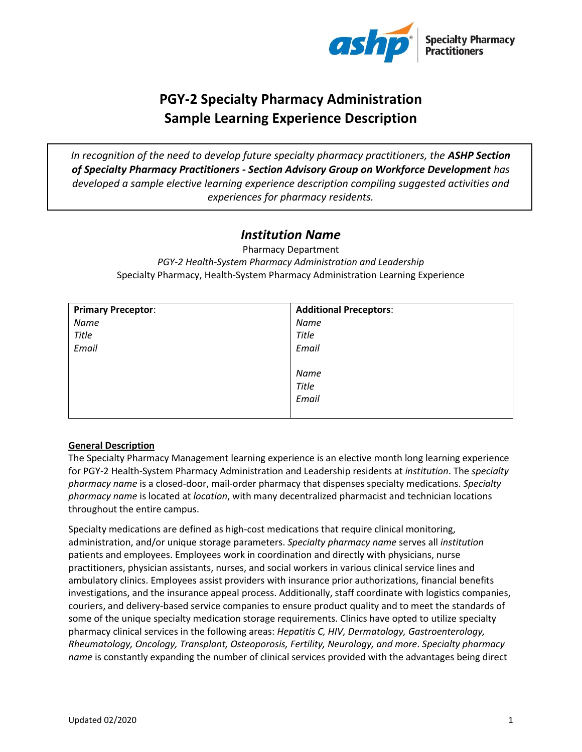

# **PGY-2 Specialty Pharmacy Administration Sample Learning Experience Description**

*In recognition of the need to develop future specialty pharmacy practitioners, the ASHP Section of Specialty Pharmacy Practitioners - Section Advisory Group on Workforce Development has developed a sample elective learning experience description compiling suggested activities and experiences for pharmacy residents.* 

# *Institution Name*

Pharmacy Department *PGY-2 Health-System Pharmacy Administration and Leadership* Specialty Pharmacy, Health-System Pharmacy Administration Learning Experience

| <b>Primary Preceptor:</b> | <b>Additional Preceptors:</b> |
|---------------------------|-------------------------------|
| Name                      | Name                          |
| <b>Title</b>              | <b>Title</b>                  |
| Email                     | Email                         |
|                           |                               |
|                           | Name                          |
|                           | Title                         |
|                           | Email                         |
|                           |                               |

# **General Description**

The Specialty Pharmacy Management learning experience is an elective month long learning experience for PGY-2 Health-System Pharmacy Administration and Leadership residents at *institution*. The *specialty pharmacy name* is a closed-door, mail-order pharmacy that dispenses specialty medications. *Specialty pharmacy name* is located at *location*, with many decentralized pharmacist and technician locations throughout the entire campus.

Specialty medications are defined as high-cost medications that require clinical monitoring, administration, and/or unique storage parameters. *Specialty pharmacy name* serves all *institution*  patients and employees. Employees work in coordination and directly with physicians, nurse practitioners, physician assistants, nurses, and social workers in various clinical service lines and ambulatory clinics. Employees assist providers with insurance prior authorizations, financial benefits investigations, and the insurance appeal process. Additionally, staff coordinate with logistics companies, couriers, and delivery-based service companies to ensure product quality and to meet the standards of some of the unique specialty medication storage requirements. Clinics have opted to utilize specialty pharmacy clinical services in the following areas: *Hepatitis C, HIV, Dermatology, Gastroenterology, Rheumatology, Oncology, Transplant, Osteoporosis, Fertility, Neurology, and more*. *Specialty pharmacy name* is constantly expanding the number of clinical services provided with the advantages being direct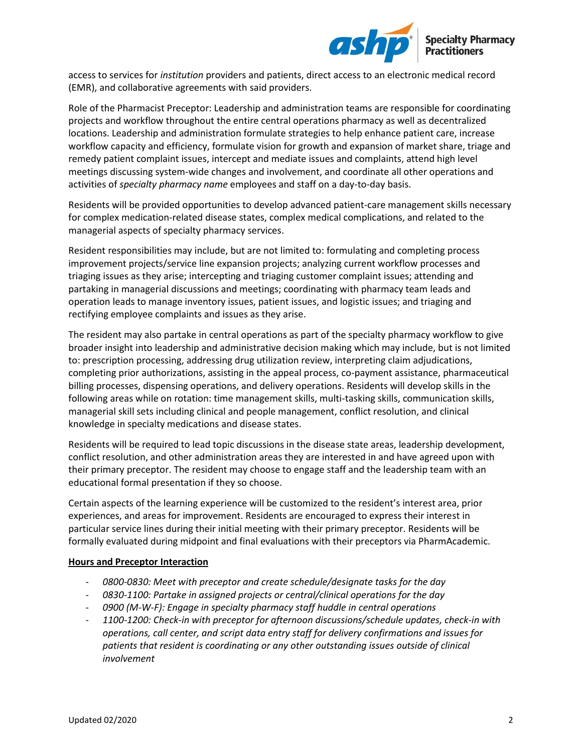

access to services for *institution* providers and patients, direct access to an electronic medical record (EMR), and collaborative agreements with said providers.

Role of the Pharmacist Preceptor: Leadership and administration teams are responsible for coordinating projects and workflow throughout the entire central operations pharmacy as well as decentralized locations. Leadership and administration formulate strategies to help enhance patient care, increase workflow capacity and efficiency, formulate vision for growth and expansion of market share, triage and remedy patient complaint issues, intercept and mediate issues and complaints, attend high level meetings discussing system-wide changes and involvement, and coordinate all other operations and activities of *specialty pharmacy name* employees and staff on a day-to-day basis.

Residents will be provided opportunities to develop advanced patient-care management skills necessary for complex medication-related disease states, complex medical complications, and related to the managerial aspects of specialty pharmacy services.

Resident responsibilities may include, but are not limited to: formulating and completing process improvement projects/service line expansion projects; analyzing current workflow processes and triaging issues as they arise; intercepting and triaging customer complaint issues; attending and partaking in managerial discussions and meetings; coordinating with pharmacy team leads and operation leads to manage inventory issues, patient issues, and logistic issues; and triaging and rectifying employee complaints and issues as they arise.

The resident may also partake in central operations as part of the specialty pharmacy workflow to give broader insight into leadership and administrative decision making which may include, but is not limited to: prescription processing, addressing drug utilization review, interpreting claim adjudications, completing prior authorizations, assisting in the appeal process, co-payment assistance, pharmaceutical billing processes, dispensing operations, and delivery operations. Residents will develop skills in the following areas while on rotation: time management skills, multi-tasking skills, communication skills, managerial skill sets including clinical and people management, conflict resolution, and clinical knowledge in specialty medications and disease states.

Residents will be required to lead topic discussions in the disease state areas, leadership development, conflict resolution, and other administration areas they are interested in and have agreed upon with their primary preceptor. The resident may choose to engage staff and the leadership team with an educational formal presentation if they so choose.

Certain aspects of the learning experience will be customized to the resident's interest area, prior experiences, and areas for improvement. Residents are encouraged to express their interest in particular service lines during their initial meeting with their primary preceptor. Residents will be formally evaluated during midpoint and final evaluations with their preceptors via PharmAcademic.

# **Hours and Preceptor Interaction**

- *0800-0830: Meet with preceptor and create schedule/designate tasks for the day*
- *0830-1100: Partake in assigned projects or central/clinical operations for the day*
- *0900 (M-W-F): Engage in specialty pharmacy staff huddle in central operations*
- *1100-1200: Check-in with preceptor for afternoon discussions/schedule updates, check-in with operations, call center, and script data entry staff for delivery confirmations and issues for patients that resident is coordinating or any other outstanding issues outside of clinical involvement*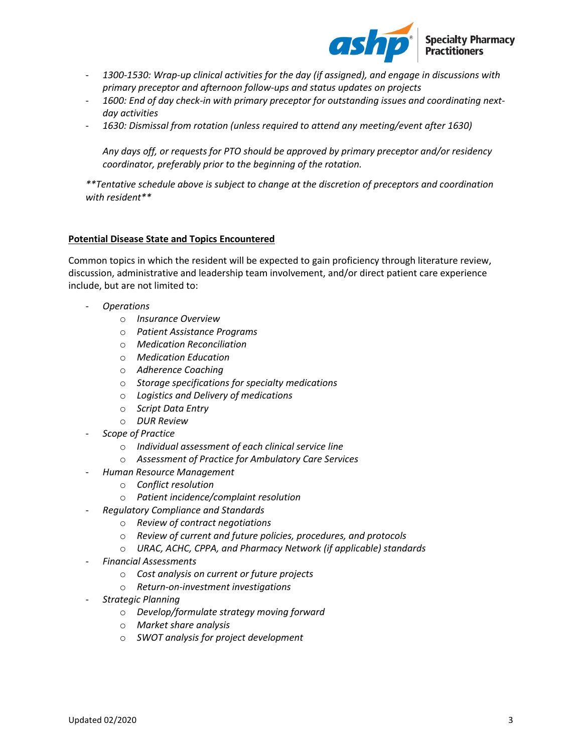

- *1300-1530: Wrap-up clinical activities for the day (if assigned), and engage in discussions with primary preceptor and afternoon follow-ups and status updates on projects*
- *1600: End of day check-in with primary preceptor for outstanding issues and coordinating nextday activities*
- *1630: Dismissal from rotation (unless required to attend any meeting/event after 1630)*

*Any days off, or requests for PTO should be approved by primary preceptor and/or residency coordinator, preferably prior to the beginning of the rotation.* 

*\*\*Tentative schedule above is subject to change at the discretion of preceptors and coordination with resident\*\**

### **Potential Disease State and Topics Encountered**

Common topics in which the resident will be expected to gain proficiency through literature review, discussion, administrative and leadership team involvement, and/or direct patient care experience include, but are not limited to:

- *Operations*
	- o *Insurance Overview*
	- o *Patient Assistance Programs*
	- o *Medication Reconciliation*
	- o *Medication Education*
	- o *Adherence Coaching*
	- o *Storage specifications for specialty medications*
	- o *Logistics and Delivery of medications*
	- o *Script Data Entry*
	- o *DUR Review*
- *Scope of Practice* 
	- o *Individual assessment of each clinical service line*
	- o *Assessment of Practice for Ambulatory Care Services*
- *Human Resource Management* 
	- o *Conflict resolution*
	- o *Patient incidence/complaint resolution*
- *Regulatory Compliance and Standards* 
	- o *Review of contract negotiations*
	- o *Review of current and future policies, procedures, and protocols*
	- o *URAC, ACHC, CPPA, and Pharmacy Network (if applicable) standards*
- *Financial Assessments* 
	- o *Cost analysis on current or future projects*
	- o *Return-on-investment investigations*
- *Strategic Planning* 
	- o *Develop/formulate strategy moving forward*
	- o *Market share analysis*
	- o *SWOT analysis for project development*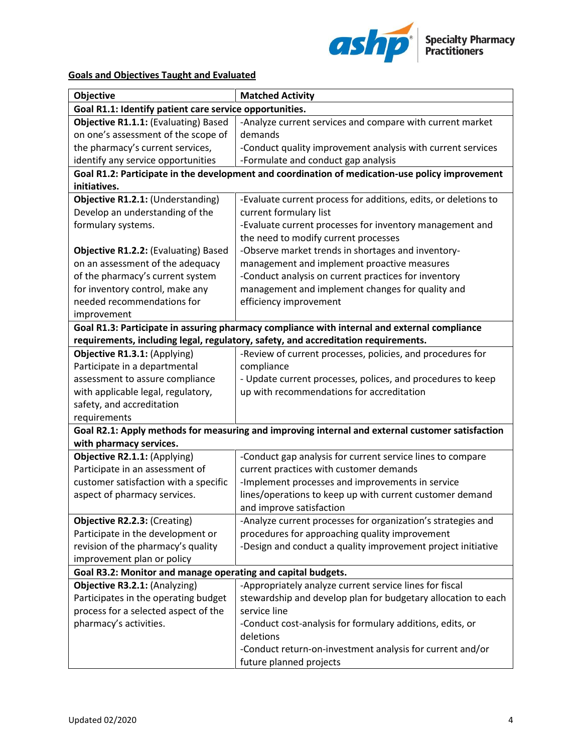

# **Goals and Objectives Taught and Evaluated**

| Objective                                                                                       | <b>Matched Activity</b>                                                                          |  |  |
|-------------------------------------------------------------------------------------------------|--------------------------------------------------------------------------------------------------|--|--|
| Goal R1.1: Identify patient care service opportunities.                                         |                                                                                                  |  |  |
| Objective R1.1.1: (Evaluating) Based                                                            | -Analyze current services and compare with current market                                        |  |  |
| on one's assessment of the scope of                                                             | demands                                                                                          |  |  |
| the pharmacy's current services,                                                                | -Conduct quality improvement analysis with current services                                      |  |  |
| identify any service opportunities                                                              | -Formulate and conduct gap analysis                                                              |  |  |
| Goal R1.2: Participate in the development and coordination of medication-use policy improvement |                                                                                                  |  |  |
| initiatives.                                                                                    |                                                                                                  |  |  |
| Objective R1.2.1: (Understanding)                                                               | -Evaluate current process for additions, edits, or deletions to                                  |  |  |
| Develop an understanding of the                                                                 | current formulary list                                                                           |  |  |
| formulary systems.                                                                              | -Evaluate current processes for inventory management and                                         |  |  |
|                                                                                                 | the need to modify current processes                                                             |  |  |
| <b>Objective R1.2.2: (Evaluating) Based</b>                                                     | -Observe market trends in shortages and inventory-                                               |  |  |
| on an assessment of the adequacy                                                                | management and implement proactive measures                                                      |  |  |
| of the pharmacy's current system                                                                | -Conduct analysis on current practices for inventory                                             |  |  |
| for inventory control, make any                                                                 | management and implement changes for quality and                                                 |  |  |
| needed recommendations for                                                                      | efficiency improvement                                                                           |  |  |
| improvement                                                                                     |                                                                                                  |  |  |
|                                                                                                 | Goal R1.3: Participate in assuring pharmacy compliance with internal and external compliance     |  |  |
|                                                                                                 | requirements, including legal, regulatory, safety, and accreditation requirements.               |  |  |
| Objective R1.3.1: (Applying)                                                                    | -Review of current processes, policies, and procedures for                                       |  |  |
| Participate in a departmental                                                                   | compliance                                                                                       |  |  |
| assessment to assure compliance                                                                 | - Update current processes, polices, and procedures to keep                                      |  |  |
| with applicable legal, regulatory,                                                              | up with recommendations for accreditation                                                        |  |  |
| safety, and accreditation                                                                       |                                                                                                  |  |  |
| requirements                                                                                    |                                                                                                  |  |  |
|                                                                                                 | Goal R2.1: Apply methods for measuring and improving internal and external customer satisfaction |  |  |
| with pharmacy services.                                                                         |                                                                                                  |  |  |
| Objective R2.1.1: (Applying)                                                                    | -Conduct gap analysis for current service lines to compare                                       |  |  |
| Participate in an assessment of                                                                 | current practices with customer demands                                                          |  |  |
| customer satisfaction with a specific                                                           | -Implement processes and improvements in service                                                 |  |  |
| aspect of pharmacy services.                                                                    | lines/operations to keep up with current customer demand                                         |  |  |
|                                                                                                 | and improve satisfaction                                                                         |  |  |
| Objective R2.2.3: (Creating)                                                                    | -Analyze current processes for organization's strategies and                                     |  |  |
| Participate in the development or                                                               | procedures for approaching quality improvement                                                   |  |  |
| revision of the pharmacy's quality                                                              | -Design and conduct a quality improvement project initiative                                     |  |  |
| improvement plan or policy                                                                      |                                                                                                  |  |  |
| Goal R3.2: Monitor and manage operating and capital budgets.                                    |                                                                                                  |  |  |
| Objective R3.2.1: (Analyzing)                                                                   | -Appropriately analyze current service lines for fiscal                                          |  |  |
| Participates in the operating budget                                                            | stewardship and develop plan for budgetary allocation to each                                    |  |  |
| process for a selected aspect of the                                                            | service line                                                                                     |  |  |
| pharmacy's activities.                                                                          | -Conduct cost-analysis for formulary additions, edits, or                                        |  |  |
|                                                                                                 | deletions                                                                                        |  |  |
|                                                                                                 | -Conduct return-on-investment analysis for current and/or                                        |  |  |
|                                                                                                 | future planned projects                                                                          |  |  |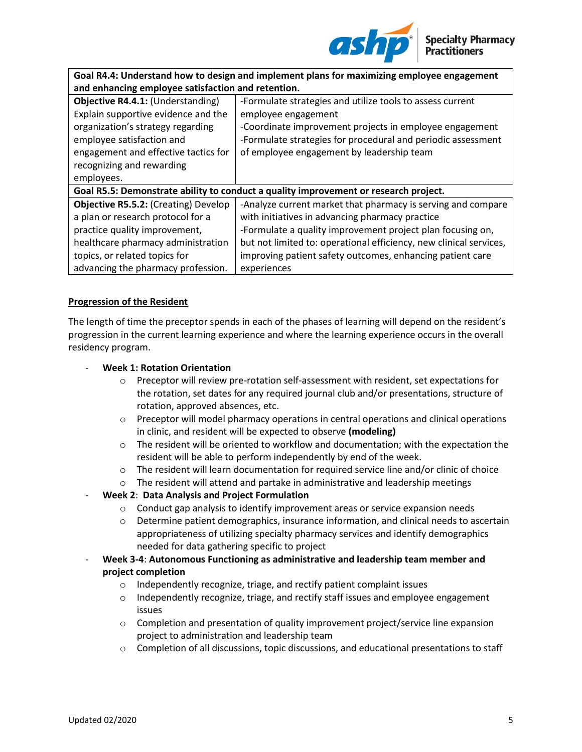

| Goal R4.4: Understand how to design and implement plans for maximizing employee engagement |                                                                    |  |
|--------------------------------------------------------------------------------------------|--------------------------------------------------------------------|--|
| and enhancing employee satisfaction and retention.                                         |                                                                    |  |
| Objective R4.4.1: (Understanding)                                                          | -Formulate strategies and utilize tools to assess current          |  |
| Explain supportive evidence and the                                                        | employee engagement                                                |  |
| organization's strategy regarding                                                          | -Coordinate improvement projects in employee engagement            |  |
| employee satisfaction and                                                                  | -Formulate strategies for procedural and periodic assessment       |  |
| engagement and effective tactics for                                                       | of employee engagement by leadership team                          |  |
| recognizing and rewarding                                                                  |                                                                    |  |
| employees.                                                                                 |                                                                    |  |
| Goal R5.5: Demonstrate ability to conduct a quality improvement or research project.       |                                                                    |  |
| <b>Objective R5.5.2: (Creating) Develop</b>                                                | -Analyze current market that pharmacy is serving and compare       |  |
| a plan or research protocol for a                                                          | with initiatives in advancing pharmacy practice                    |  |
| practice quality improvement,                                                              | -Formulate a quality improvement project plan focusing on,         |  |
| healthcare pharmacy administration                                                         | but not limited to: operational efficiency, new clinical services, |  |
| topics, or related topics for                                                              | improving patient safety outcomes, enhancing patient care          |  |
| advancing the pharmacy profession.                                                         | experiences                                                        |  |

# **Progression of the Resident**

The length of time the preceptor spends in each of the phases of learning will depend on the resident's progression in the current learning experience and where the learning experience occurs in the overall residency program.

# - **Week 1: Rotation Orientation**

- o Preceptor will review pre-rotation self-assessment with resident, set expectations for the rotation, set dates for any required journal club and/or presentations, structure of rotation, approved absences, etc.
- $\circ$  Preceptor will model pharmacy operations in central operations and clinical operations in clinic, and resident will be expected to observe **(modeling)**
- $\circ$  The resident will be oriented to workflow and documentation; with the expectation the resident will be able to perform independently by end of the week.
- $\circ$  The resident will learn documentation for required service line and/or clinic of choice
- o The resident will attend and partake in administrative and leadership meetings

# - **Week 2**: **Data Analysis and Project Formulation**

- $\circ$  Conduct gap analysis to identify improvement areas or service expansion needs
- o Determine patient demographics, insurance information, and clinical needs to ascertain appropriateness of utilizing specialty pharmacy services and identify demographics needed for data gathering specific to project
- **Week 3-4**: **Autonomous Functioning as administrative and leadership team member and project completion** 
	- o Independently recognize, triage, and rectify patient complaint issues
	- $\circ$  Independently recognize, triage, and rectify staff issues and employee engagement issues
	- $\circ$  Completion and presentation of quality improvement project/service line expansion project to administration and leadership team
	- $\circ$  Completion of all discussions, topic discussions, and educational presentations to staff